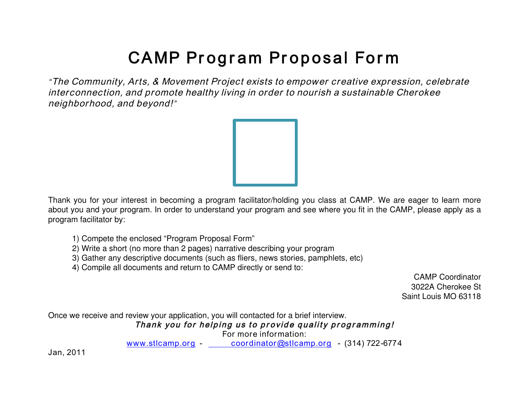## CAMP Program Proposal Form

"The Community, Arts, & Movement Project exists to empower creative expression, celebrate interconnection, and promote healthy living in order to nourish a sustainable Cherokee neighborhood, and beyond!"



Thank you for your interest in becoming a program facilitator/holding you class at CAMP. We are eager to learn more about you and your program. In order to understand your program and see where you fit in the CAMP, please apply as a program facilitator by:

- 1) Compete the enclosed "Program Proposal Form"
- 2) Write a short (no more than 2 pages) narrative describing your program
- 3) Gather any descriptive documents (such as fliers, news stories, pamphlets, etc)
- 4) Compile all documents and return to CAMP directly or send to:

CAMP Coordinator 3022A Cherokee St Saint Louis MO 63118

Once we receive and review your application, you will contacted for a brief interview.

Thank you for helping us to provide quality programming!

For more information:

www.stlcamp.org - coordinator@stlcamp.org - (314) 722-6774

Jan, 2011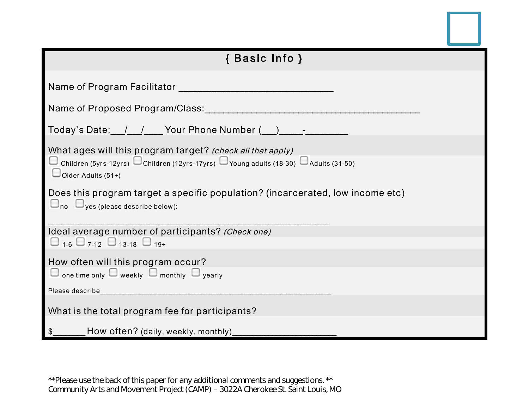

| { Basic Info }                                                                                                                            |
|-------------------------------------------------------------------------------------------------------------------------------------------|
| Name of Program Facilitator                                                                                                               |
| Name of Proposed Program/Class:                                                                                                           |
| Today's Date: 1 1 Your Phone Number (2012-2020)                                                                                           |
| What ages will this program target? (check all that apply)                                                                                |
| $\Box$ Children (5yrs-12yrs) $\Box$ Children (12yrs-17yrs) $\Box$ Young adults (18-30) $\Box$ Adults (31-50)<br>$\Box$ Older Adults (51+) |
| Does this program target a specific population? (incarcerated, low income etc)<br>$\Box$ no $\Box$ yes (please describe below):           |
| Ideal average number of participants? (Check one)                                                                                         |
| $\Box$ 1-6 $\Box$ 7-12 $\Box$ 13-18 $\Box$ 19+                                                                                            |
| How often will this program occur?<br>$\Box$ one time only $\Box$ weekly $\Box$ monthly $\Box$ yearly                                     |
| Please describe                                                                                                                           |
| What is the total program fee for participants?                                                                                           |
| How often? (daily, weekly, monthly)<br>\$                                                                                                 |